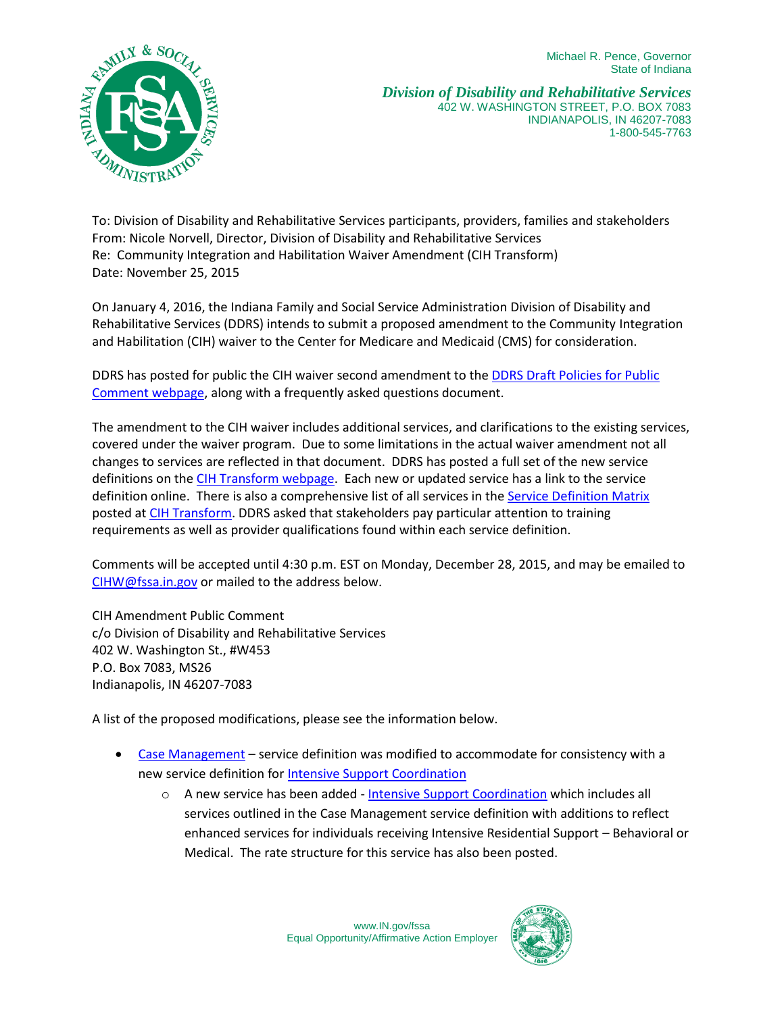Michael R. Pence, Governor State of Indiana



*Division of Disability and Rehabilitative Services* 402 W. WASHINGTON STREET, P.O. BOX 7083 INDIANAPOLIS, IN 46207-7083 1-800-545-7763

To: Division of Disability and Rehabilitative Services participants, providers, families and stakeholders From: Nicole Norvell, Director, Division of Disability and Rehabilitative Services Re: Community Integration and Habilitation Waiver Amendment (CIH Transform) Date: November 25, 2015

On January 4, 2016, the Indiana Family and Social Service Administration Division of Disability and Rehabilitative Services (DDRS) intends to submit a proposed amendment to the Community Integration and Habilitation (CIH) waiver to the Center for Medicare and Medicaid (CMS) for consideration.

DDRS has posted for public the CIH waiver second amendment to the [DDRS Draft Policies for Public](http://www.in.gov/fssa/ddrs/4205.htm)  [Comment webpage,](http://www.in.gov/fssa/ddrs/4205.htm) along with a frequently asked questions document.

The amendment to the CIH waiver includes additional services, and clarifications to the existing services, covered under the waiver program. Due to some limitations in the actual waiver amendment not all changes to services are reflected in that document. DDRS has posted a full set of the new service definitions on the [CIH Transform webpage.](http://www.in.gov/fssa/ddrs/4988.htm) Each new or updated service has a link to the service definition online. There is also a comprehensive list of all services in th[e Service Definition Matrix](http://www.in.gov/fssa/files/Service_Def_Matrix_20151123_ready.pdf) posted a[t CIH Transform.](http://www.in.gov/fssa/ddrs/4988.htm) DDRS asked that stakeholders pay particular attention to training requirements as well as provider qualifications found within each service definition.

Comments will be accepted until 4:30 p.m. EST on Monday, December 28, 2015, and may be emailed to [CIHW@fssa.in.gov](mailto:CIHW@fssa.in.gov) or mailed to the address below.

CIH Amendment Public Comment c/o Division of Disability and Rehabilitative Services 402 W. Washington St., #W453 P.O. Box 7083, MS26 Indianapolis, IN 46207-7083

A list of the proposed modifications, please see the information below.

- [Case Management](http://www.in.gov/fssa/files/Case_Management.pdf) service definition was modified to accommodate for consistency with a new service definition for **Intensive Support Coordination** 
	- $\circ$  A new service has been added [Intensive Support Coordination](http://www.in.gov/fssa/files/Intensive_Support_Coordination_FINAL_11-20-15.pdf) which includes all services outlined in the Case Management service definition with additions to reflect enhanced services for individuals receiving Intensive Residential Support – Behavioral or Medical. The rate structure for this service has also been posted.